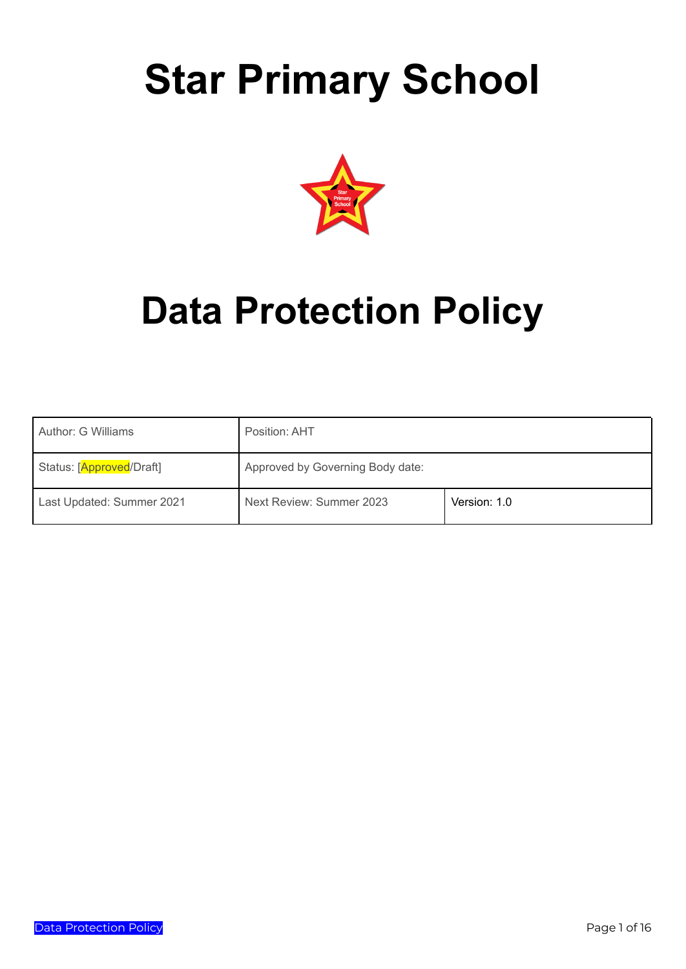# **Star Primary School**



# **Data Protection Policy**

| Author: G Williams        | Position: AHT                    |              |
|---------------------------|----------------------------------|--------------|
| Status: [Approved/Draft]  | Approved by Governing Body date: |              |
| Last Updated: Summer 2021 | Next Review: Summer 2023         | Version: 1.0 |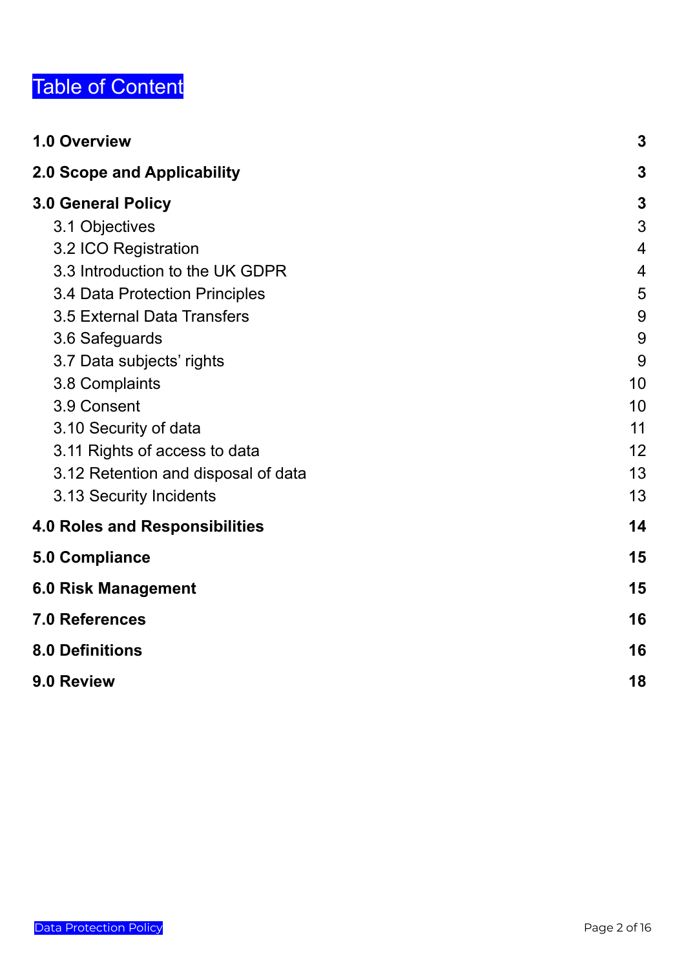# Table of Content

| 1.0 Overview                          | $\boldsymbol{3}$ |
|---------------------------------------|------------------|
| 2.0 Scope and Applicability           | 3                |
| <b>3.0 General Policy</b>             | $\mathbf 3$      |
| 3.1 Objectives                        | 3                |
| 3.2 ICO Registration                  | $\overline{4}$   |
| 3.3 Introduction to the UK GDPR       | 4                |
| 3.4 Data Protection Principles        | 5                |
| 3.5 External Data Transfers           | 9                |
| 3.6 Safeguards                        | 9                |
| 3.7 Data subjects' rights             | 9                |
| 3.8 Complaints                        | 10               |
| 3.9 Consent                           | 10               |
| 3.10 Security of data                 | 11               |
| 3.11 Rights of access to data         | 12               |
| 3.12 Retention and disposal of data   | 13               |
| 3.13 Security Incidents               | 13               |
| <b>4.0 Roles and Responsibilities</b> | 14               |
| <b>5.0 Compliance</b>                 | 15               |
| <b>6.0 Risk Management</b>            | 15               |
| <b>7.0 References</b>                 | 16               |
| <b>8.0 Definitions</b>                | 16               |
| 9.0 Review                            | 18               |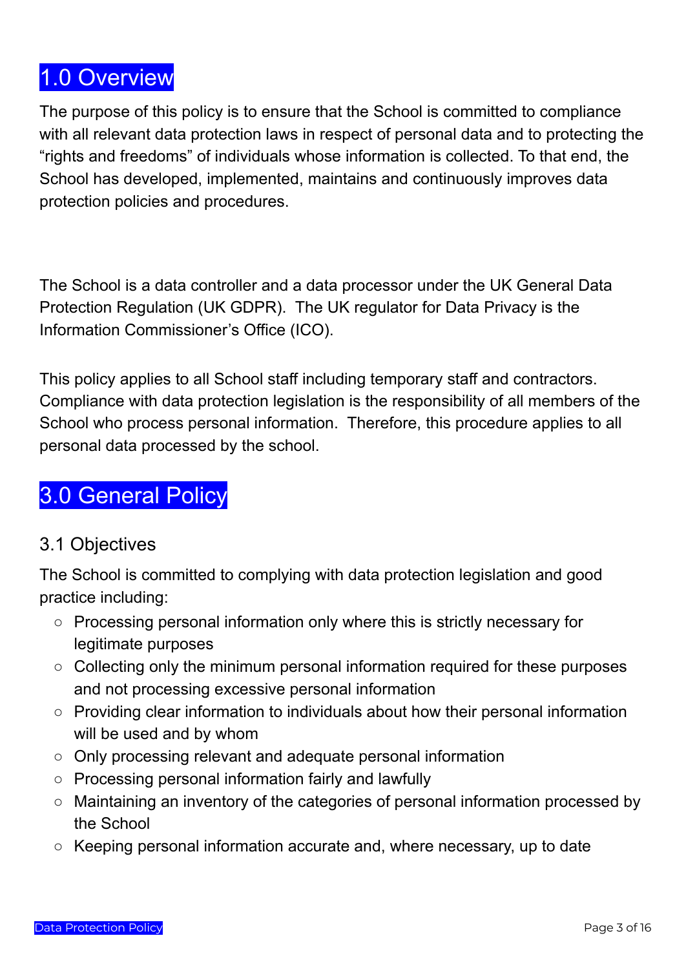# <span id="page-2-0"></span>1.0 Overview

The purpose of this policy is to ensure that the School is committed to compliance with all relevant data protection laws in respect of personal data and to protecting the "rights and freedoms" of individuals whose information is collected. To that end, the School has developed, implemented, maintains and continuously improves data protection policies and procedures.

<span id="page-2-1"></span>The School is a data controller and a data processor under the UK General Data Protection Regulation (UK GDPR). The UK regulator for Data Privacy is the Information Commissioner's Office (ICO).

This policy applies to all School staff including temporary staff and contractors. Compliance with data protection legislation is the responsibility of all members of the School who process personal information. Therefore, this procedure applies to all personal data processed by the school.

# <span id="page-2-2"></span>3.0 General Policy

## <span id="page-2-3"></span>3.1 Objectives

The School is committed to complying with data protection legislation and good practice including:

- Processing personal information only where this is strictly necessary for legitimate purposes
- Collecting only the minimum personal information required for these purposes and not processing excessive personal information
- Providing clear information to individuals about how their personal information will be used and by whom
- Only processing relevant and adequate personal information
- Processing personal information fairly and lawfully
- Maintaining an inventory of the categories of personal information processed by the School
- Keeping personal information accurate and, where necessary, up to date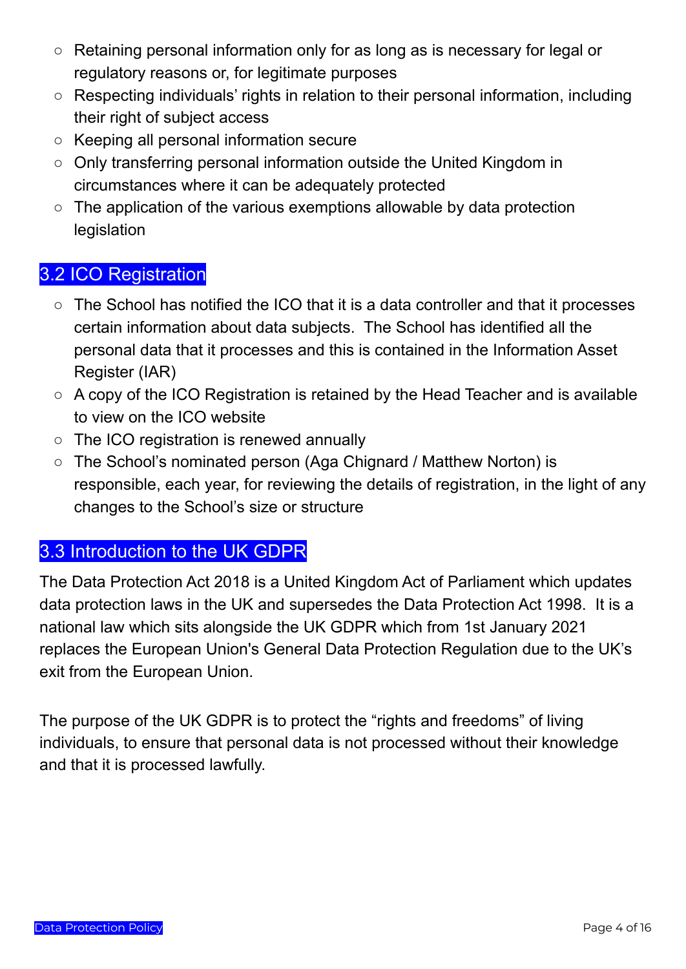- Retaining personal information only for as long as is necessary for legal or regulatory reasons or, for legitimate purposes
- Respecting individuals' rights in relation to their personal information, including their right of subject access
- Keeping all personal information secure
- Only transferring personal information outside the United Kingdom in circumstances where it can be adequately protected
- $\circ$  The application of the various exemptions allowable by data protection legislation

### <span id="page-3-0"></span>3.2 ICO Registration

- The School has notified the ICO that it is a data controller and that it processes certain information about data subjects. The School has identified all the personal data that it processes and this is contained in the Information Asset Register (IAR)
- A copy of the ICO Registration is retained by the Head Teacher and is available to view on the ICO website
- The ICO registration is renewed annually
- The School's nominated person (Aga Chignard / Matthew Norton) is responsible, each year, for reviewing the details of registration, in the light of any changes to the School's size or structure

#### <span id="page-3-1"></span>3.3 Introduction to the UK GDPR

The Data Protection Act 2018 is a United Kingdom Act of Parliament which updates data protection laws in the UK and supersedes the Data Protection Act 1998. It is a national law which sits alongside the UK GDPR which from 1st January 2021 replaces the European Union's General Data Protection Regulation due to the UK's exit from the European Union.

The purpose of the UK GDPR is to protect the "rights and freedoms" of living individuals, to ensure that personal data is not processed without their knowledge and that it is processed lawfully.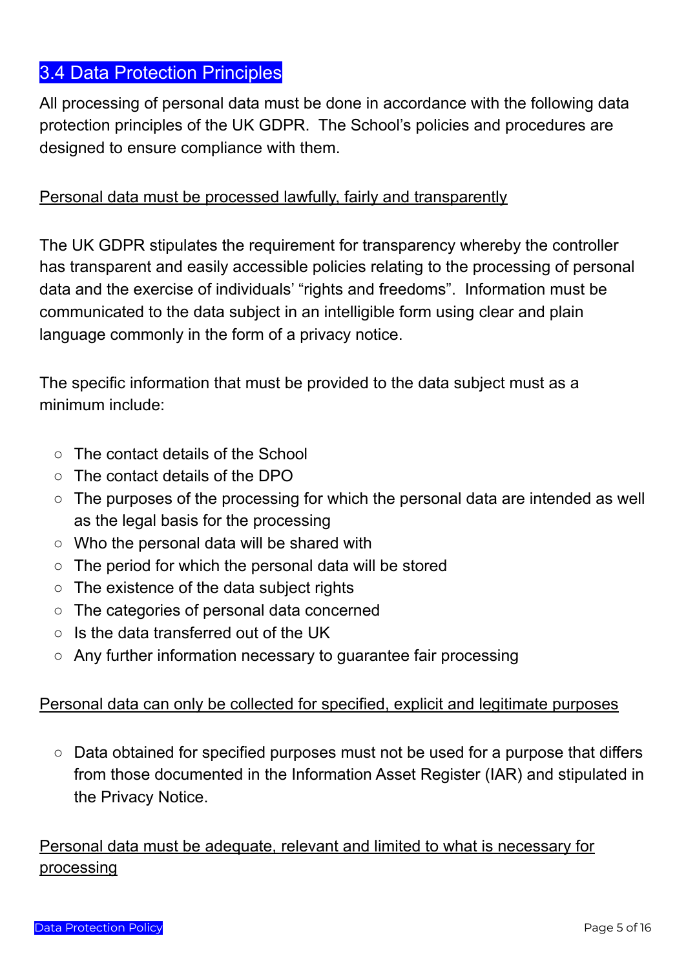## <span id="page-4-0"></span>3.4 Data Protection Principles

All processing of personal data must be done in accordance with the following data protection principles of the UK GDPR. The School's policies and procedures are designed to ensure compliance with them.

#### Personal data must be processed lawfully, fairly and transparently

The UK GDPR stipulates the requirement for transparency whereby the controller has transparent and easily accessible policies relating to the processing of personal data and the exercise of individuals' "rights and freedoms". Information must be communicated to the data subject in an intelligible form using clear and plain language commonly in the form of a privacy notice.

The specific information that must be provided to the data subject must as a minimum include:

- The contact details of the School
- The contact details of the DPO
- The purposes of the processing for which the personal data are intended as well as the legal basis for the processing
- Who the personal data will be shared with
- The period for which the personal data will be stored
- The existence of the data subject rights
- The categories of personal data concerned
- Is the data transferred out of the UK
- Any further information necessary to guarantee fair processing

#### Personal data can only be collected for specified, explicit and legitimate purposes

○ Data obtained for specified purposes must not be used for a purpose that differs from those documented in the Information Asset Register (IAR) and stipulated in the Privacy Notice.

Personal data must be adequate, relevant and limited to what is necessary for processing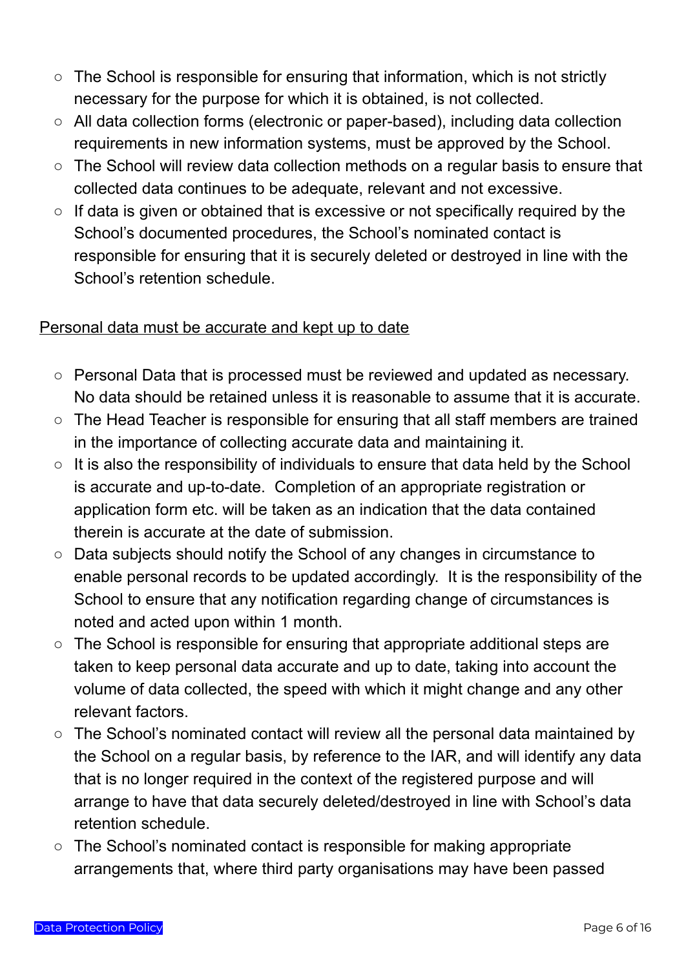- The School is responsible for ensuring that information, which is not strictly necessary for the purpose for which it is obtained, is not collected.
- All data collection forms (electronic or paper-based), including data collection requirements in new information systems, must be approved by the School.
- The School will review data collection methods on a regular basis to ensure that collected data continues to be adequate, relevant and not excessive.
- If data is given or obtained that is excessive or not specifically required by the School's documented procedures, the School's nominated contact is responsible for ensuring that it is securely deleted or destroyed in line with the School's retention schedule.

#### Personal data must be accurate and kept up to date

- Personal Data that is processed must be reviewed and updated as necessary. No data should be retained unless it is reasonable to assume that it is accurate.
- The Head Teacher is responsible for ensuring that all staff members are trained in the importance of collecting accurate data and maintaining it.
- $\circ$  It is also the responsibility of individuals to ensure that data held by the School is accurate and up-to-date. Completion of an appropriate registration or application form etc. will be taken as an indication that the data contained therein is accurate at the date of submission.
- Data subjects should notify the School of any changes in circumstance to enable personal records to be updated accordingly. It is the responsibility of the School to ensure that any notification regarding change of circumstances is noted and acted upon within 1 month.
- The School is responsible for ensuring that appropriate additional steps are taken to keep personal data accurate and up to date, taking into account the volume of data collected, the speed with which it might change and any other relevant factors.
- The School's nominated contact will review all the personal data maintained by the School on a regular basis, by reference to the IAR, and will identify any data that is no longer required in the context of the registered purpose and will arrange to have that data securely deleted/destroyed in line with School's data retention schedule.
- The School's nominated contact is responsible for making appropriate arrangements that, where third party organisations may have been passed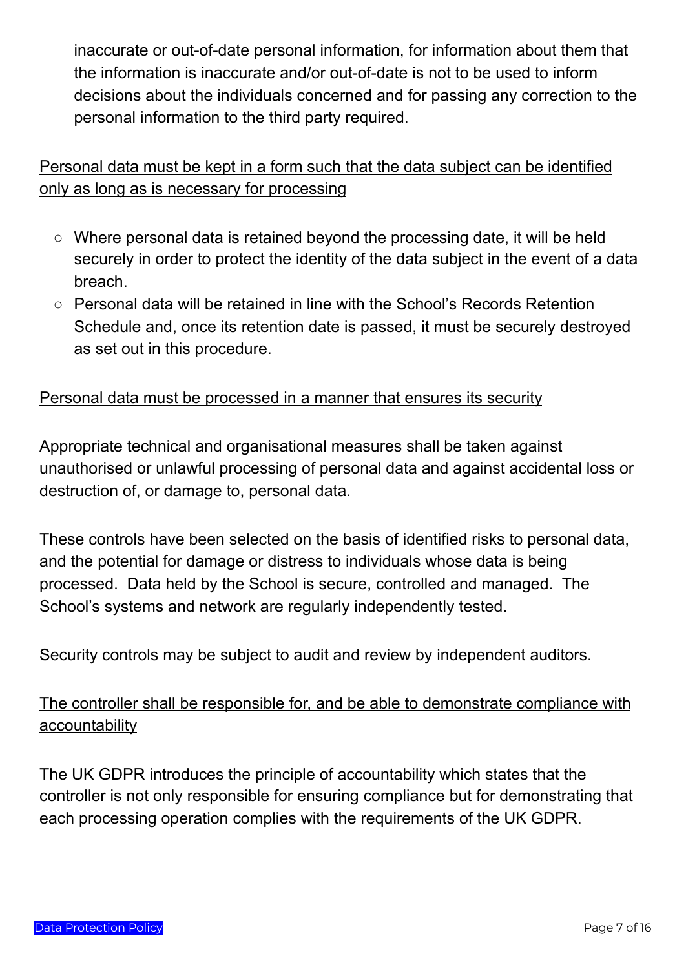inaccurate or out-of-date personal information, for information about them that the information is inaccurate and/or out-of-date is not to be used to inform decisions about the individuals concerned and for passing any correction to the personal information to the third party required.

#### Personal data must be kept in a form such that the data subject can be identified only as long as is necessary for processing

- Where personal data is retained beyond the processing date, it will be held securely in order to protect the identity of the data subject in the event of a data breach.
- Personal data will be retained in line with the School's Records Retention Schedule and, once its retention date is passed, it must be securely destroyed as set out in this procedure.

#### Personal data must be processed in a manner that ensures its security

Appropriate technical and organisational measures shall be taken against unauthorised or unlawful processing of personal data and against accidental loss or destruction of, or damage to, personal data.

These controls have been selected on the basis of identified risks to personal data, and the potential for damage or distress to individuals whose data is being processed. Data held by the School is secure, controlled and managed. The School's systems and network are regularly independently tested.

Security controls may be subject to audit and review by independent auditors.

#### The controller shall be responsible for, and be able to demonstrate compliance with accountability

The UK GDPR introduces the principle of accountability which states that the controller is not only responsible for ensuring compliance but for demonstrating that each processing operation complies with the requirements of the UK GDPR.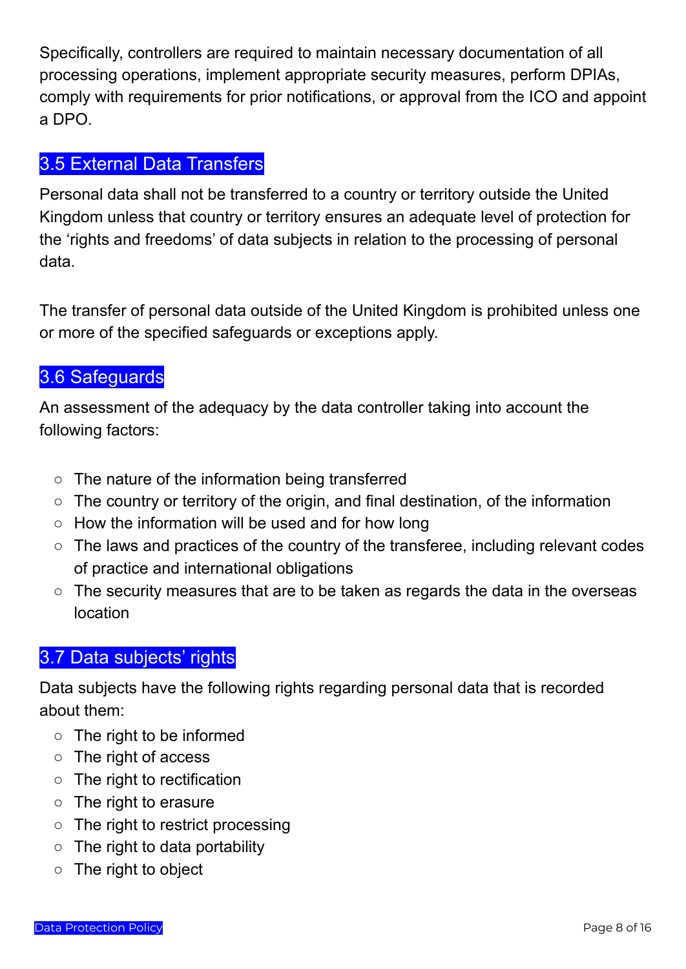Specifically, controllers are required to maintain necessary documentation of all processing operations, implement appropriate security measures, perform DPIAs, comply with requirements for prior notifications, or approval from the ICO and appoint a DPO.

### <span id="page-7-0"></span>3.5 External Data Transfers

Personal data shall not be transferred to a country or territory outside the United Kingdom unless that country or territory ensures an adequate level of protection for the 'rights and freedoms' of data subjects in relation to the processing of personal data.

The transfer of personal data outside of the United Kingdom is prohibited unless one or more of the specified safeguards or exceptions apply.

### <span id="page-7-1"></span>3.6 Safeguards

An assessment of the adequacy by the data controller taking into account the following factors:

- The nature of the information being transferred
- The country or territory of the origin, and final destination, of the information
- How the information will be used and for how long
- The laws and practices of the country of the transferee, including relevant codes of practice and international obligations
- The security measures that are to be taken as regards the data in the overseas location

## <span id="page-7-2"></span>3.7 Data subjects' rights

Data subjects have the following rights regarding personal data that is recorded about them:

- The right to be informed
- The right of access
- The right to rectification
- The right to erasure
- The right to restrict processing
- $\circ$  The right to data portability
- The right to object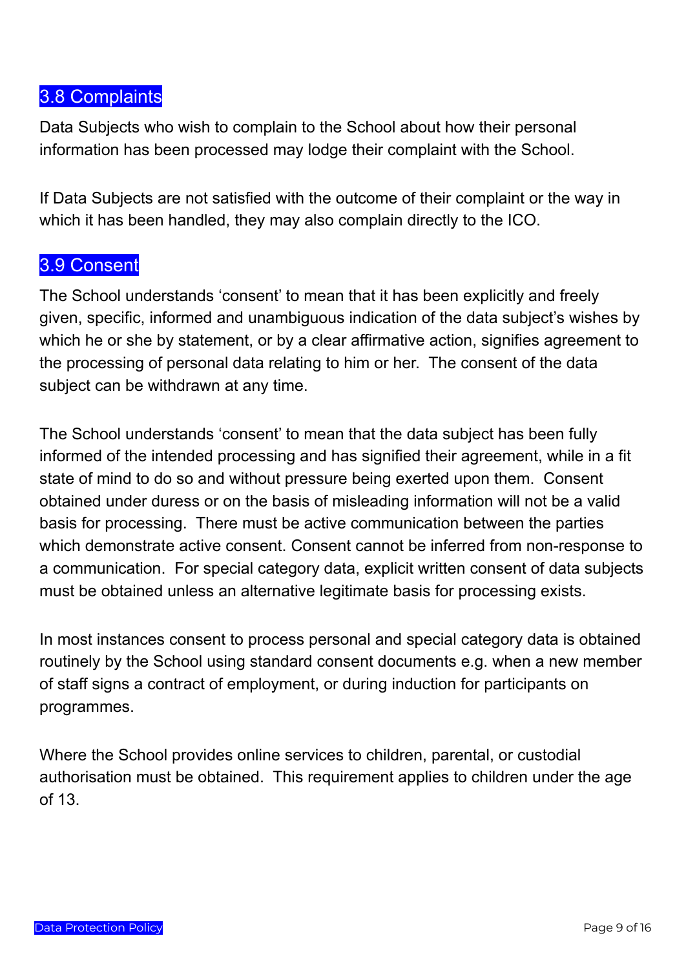#### <span id="page-8-0"></span>3.8 Complaints

Data Subjects who wish to complain to the School about how their personal information has been processed may lodge their complaint with the School.

If Data Subjects are not satisfied with the outcome of their complaint or the way in which it has been handled, they may also complain directly to the ICO.

#### <span id="page-8-1"></span>3.9 Consent

The School understands 'consent' to mean that it has been explicitly and freely given, specific, informed and unambiguous indication of the data subject's wishes by which he or she by statement, or by a clear affirmative action, signifies agreement to the processing of personal data relating to him or her. The consent of the data subject can be withdrawn at any time.

The School understands 'consent' to mean that the data subject has been fully informed of the intended processing and has signified their agreement, while in a fit state of mind to do so and without pressure being exerted upon them. Consent obtained under duress or on the basis of misleading information will not be a valid basis for processing. There must be active communication between the parties which demonstrate active consent. Consent cannot be inferred from non-response to a communication. For special category data, explicit written consent of data subjects must be obtained unless an alternative legitimate basis for processing exists.

In most instances consent to process personal and special category data is obtained routinely by the School using standard consent documents e.g. when a new member of staff signs a contract of employment, or during induction for participants on programmes.

Where the School provides online services to children, parental, or custodial authorisation must be obtained. This requirement applies to children under the age of 13.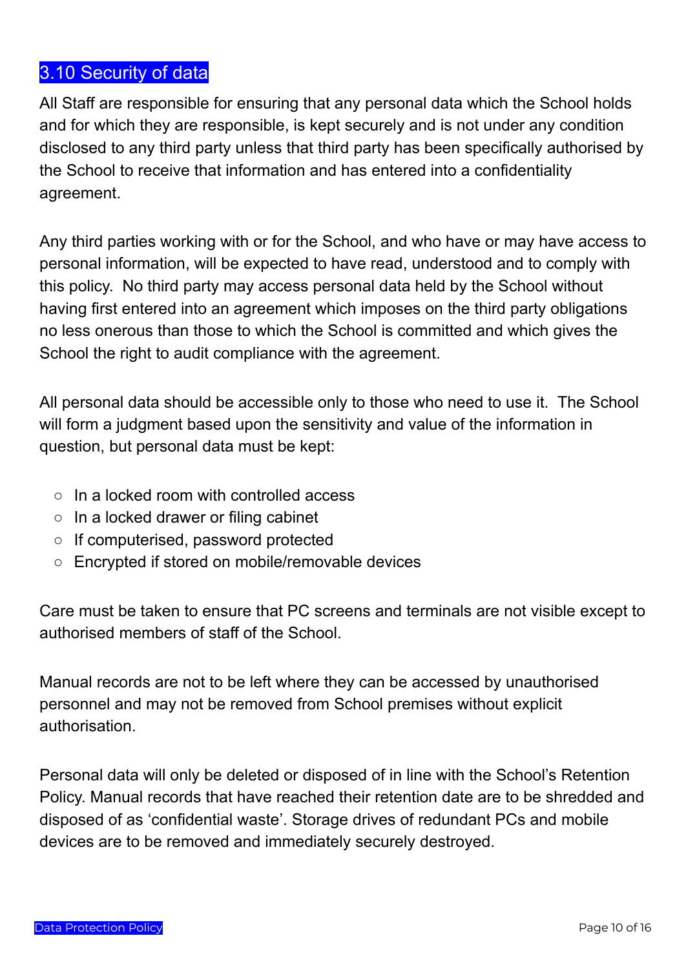## <span id="page-9-0"></span>3.10 Security of data

All Staff are responsible for ensuring that any personal data which the School holds and for which they are responsible, is kept securely and is not under any condition disclosed to any third party unless that third party has been specifically authorised by the School to receive that information and has entered into a confidentiality agreement.

Any third parties working with or for the School, and who have or may have access to personal information, will be expected to have read, understood and to comply with this policy. No third party may access personal data held by the School without having first entered into an agreement which imposes on the third party obligations no less onerous than those to which the School is committed and which gives the School the right to audit compliance with the agreement.

All personal data should be accessible only to those who need to use it. The School will form a judgment based upon the sensitivity and value of the information in question, but personal data must be kept:

- $\circ$  In a locked room with controlled access
- In a locked drawer or filing cabinet
- If computerised, password protected
- Encrypted if stored on mobile/removable devices

Care must be taken to ensure that PC screens and terminals are not visible except to authorised members of staff of the School.

Manual records are not to be left where they can be accessed by unauthorised personnel and may not be removed from School premises without explicit authorisation.

Personal data will only be deleted or disposed of in line with the School's Retention Policy. Manual records that have reached their retention date are to be shredded and disposed of as 'confidential waste'. Storage drives of redundant PCs and mobile devices are to be removed and immediately securely destroyed.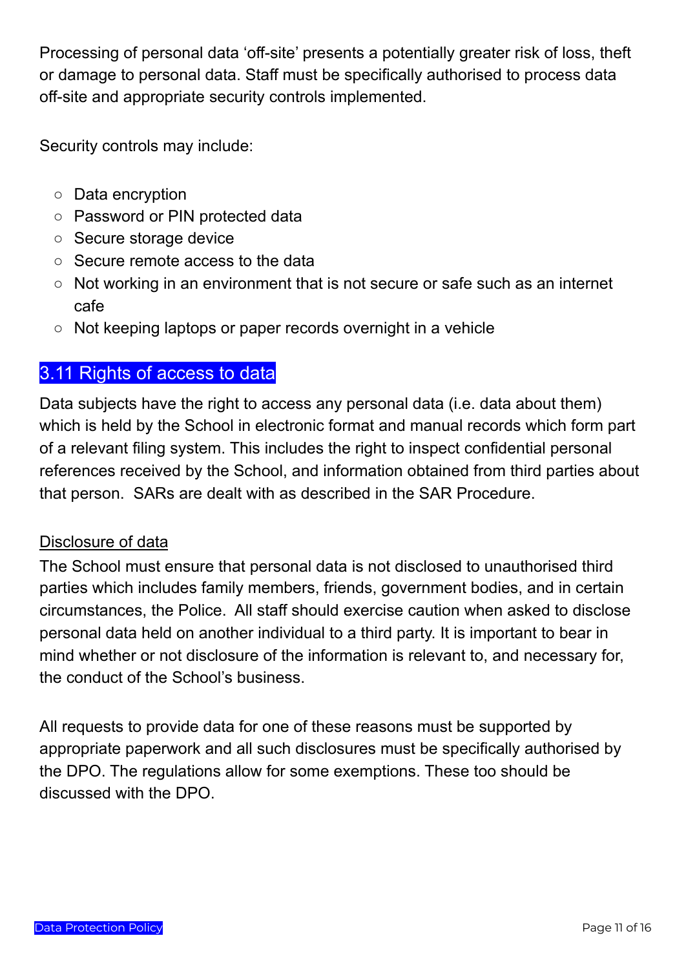Processing of personal data 'off-site' presents a potentially greater risk of loss, theft or damage to personal data. Staff must be specifically authorised to process data off-site and appropriate security controls implemented.

Security controls may include:

- Data encryption
- Password or PIN protected data
- Secure storage device
- Secure remote access to the data
- Not working in an environment that is not secure or safe such as an internet cafe
- Not keeping laptops or paper records overnight in a vehicle

## <span id="page-10-0"></span>3.11 Rights of access to data

Data subjects have the right to access any personal data (i.e. data about them) which is held by the School in electronic format and manual records which form part of a relevant filing system. This includes the right to inspect confidential personal references received by the School, and information obtained from third parties about that person. SARs are dealt with as described in the SAR Procedure.

#### Disclosure of data

The School must ensure that personal data is not disclosed to unauthorised third parties which includes family members, friends, government bodies, and in certain circumstances, the Police. All staff should exercise caution when asked to disclose personal data held on another individual to a third party. It is important to bear in mind whether or not disclosure of the information is relevant to, and necessary for, the conduct of the School's business.

All requests to provide data for one of these reasons must be supported by appropriate paperwork and all such disclosures must be specifically authorised by the DPO. The regulations allow for some exemptions. These too should be discussed with the DPO.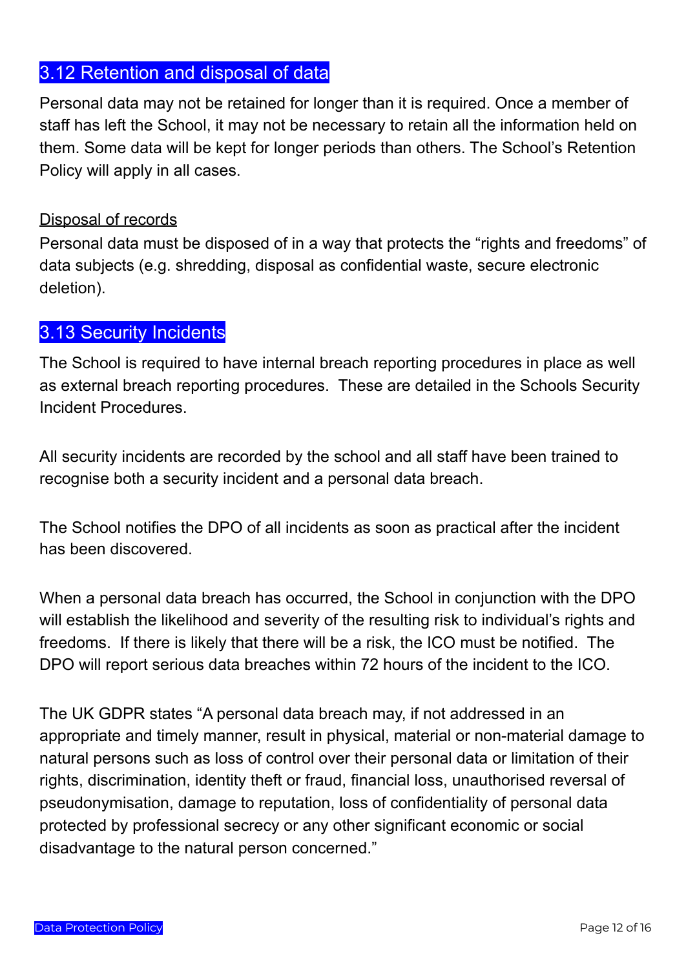## <span id="page-11-0"></span>3.12 Retention and disposal of data

Personal data may not be retained for longer than it is required. Once a member of staff has left the School, it may not be necessary to retain all the information held on them. Some data will be kept for longer periods than others. The School's Retention Policy will apply in all cases.

#### Disposal of records

Personal data must be disposed of in a way that protects the "rights and freedoms" of data subjects (e.g. shredding, disposal as confidential waste, secure electronic deletion).

#### <span id="page-11-1"></span>3.13 Security Incidents

The School is required to have internal breach reporting procedures in place as well as external breach reporting procedures. These are detailed in the Schools Security Incident Procedures.

All security incidents are recorded by the school and all staff have been trained to recognise both a security incident and a personal data breach.

The School notifies the DPO of all incidents as soon as practical after the incident has been discovered.

When a personal data breach has occurred, the School in conjunction with the DPO will establish the likelihood and severity of the resulting risk to individual's rights and freedoms. If there is likely that there will be a risk, the ICO must be notified. The DPO will report serious data breaches within 72 hours of the incident to the ICO.

The UK GDPR states "A personal data breach may, if not addressed in an appropriate and timely manner, result in physical, material or non-material damage to natural persons such as loss of control over their personal data or limitation of their rights, discrimination, identity theft or fraud, financial loss, unauthorised reversal of pseudonymisation, damage to reputation, loss of confidentiality of personal data protected by professional secrecy or any other significant economic or social disadvantage to the natural person concerned."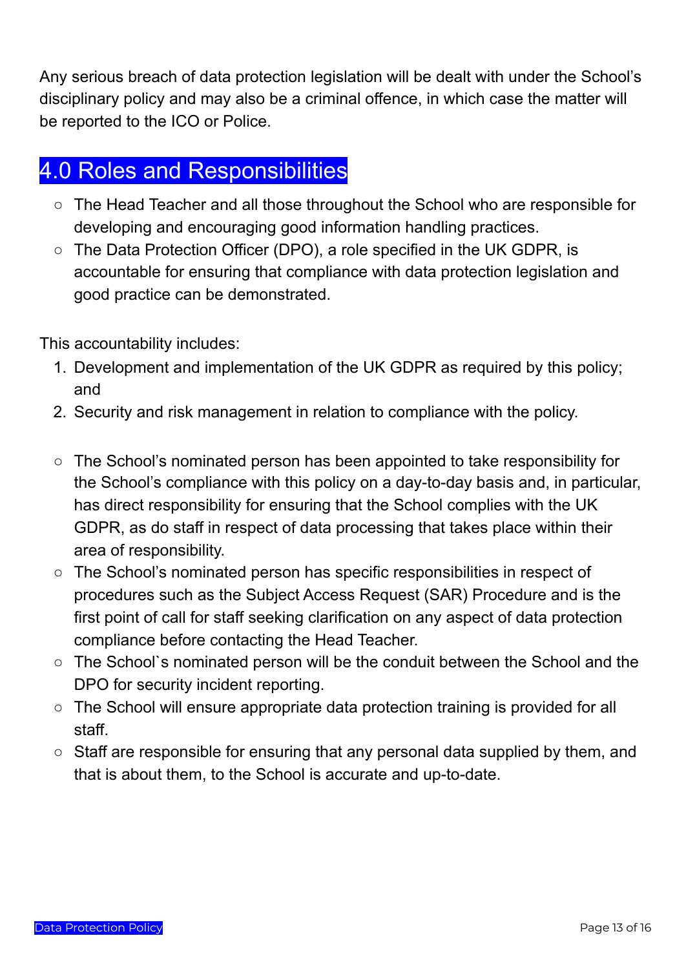Any serious breach of data protection legislation will be dealt with under the School's disciplinary policy and may also be a criminal offence, in which case the matter will be reported to the ICO or Police.

## <span id="page-12-0"></span>4.0 Roles and Responsibilities

- The Head Teacher and all those throughout the School who are responsible for developing and encouraging good information handling practices.
- The Data Protection Officer (DPO), a role specified in the UK GDPR, is accountable for ensuring that compliance with data protection legislation and good practice can be demonstrated.

This accountability includes:

- 1. Development and implementation of the UK GDPR as required by this policy; and
- 2. Security and risk management in relation to compliance with the policy.
- The School's nominated person has been appointed to take responsibility for the School's compliance with this policy on a day-to-day basis and, in particular, has direct responsibility for ensuring that the School complies with the UK GDPR, as do staff in respect of data processing that takes place within their area of responsibility.
- The School's nominated person has specific responsibilities in respect of procedures such as the Subject Access Request (SAR) Procedure and is the first point of call for staff seeking clarification on any aspect of data protection compliance before contacting the Head Teacher.
- The School`s nominated person will be the conduit between the School and the DPO for security incident reporting.
- The School will ensure appropriate data protection training is provided for all staff.
- Staff are responsible for ensuring that any personal data supplied by them, and that is about them, to the School is accurate and up-to-date.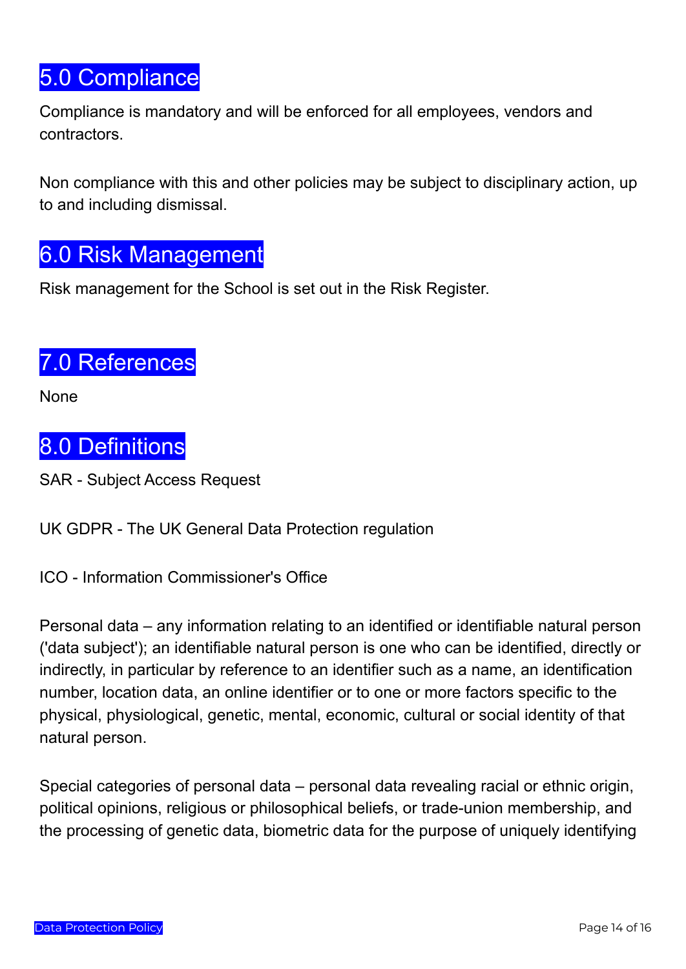# <span id="page-13-0"></span>5.0 Compliance

Compliance is mandatory and will be enforced for all employees, vendors and contractors.

Non compliance with this and other policies may be subject to disciplinary action, up to and including dismissal.

## <span id="page-13-1"></span>6.0 Risk Management

Risk management for the School is set out in the Risk Register.

## <span id="page-13-2"></span>7.0 References

<span id="page-13-3"></span>None

# 8.0 Definitions

SAR - Subject Access Request

UK GDPR - The UK General Data Protection regulation

ICO - Information Commissioner's Office

Personal data – any information relating to an identified or identifiable natural person ('data subject'); an identifiable natural person is one who can be identified, directly or indirectly, in particular by reference to an identifier such as a name, an identification number, location data, an online identifier or to one or more factors specific to the physical, physiological, genetic, mental, economic, cultural or social identity of that natural person.

Special categories of personal data – personal data revealing racial or ethnic origin, political opinions, religious or philosophical beliefs, or trade-union membership, and the processing of genetic data, biometric data for the purpose of uniquely identifying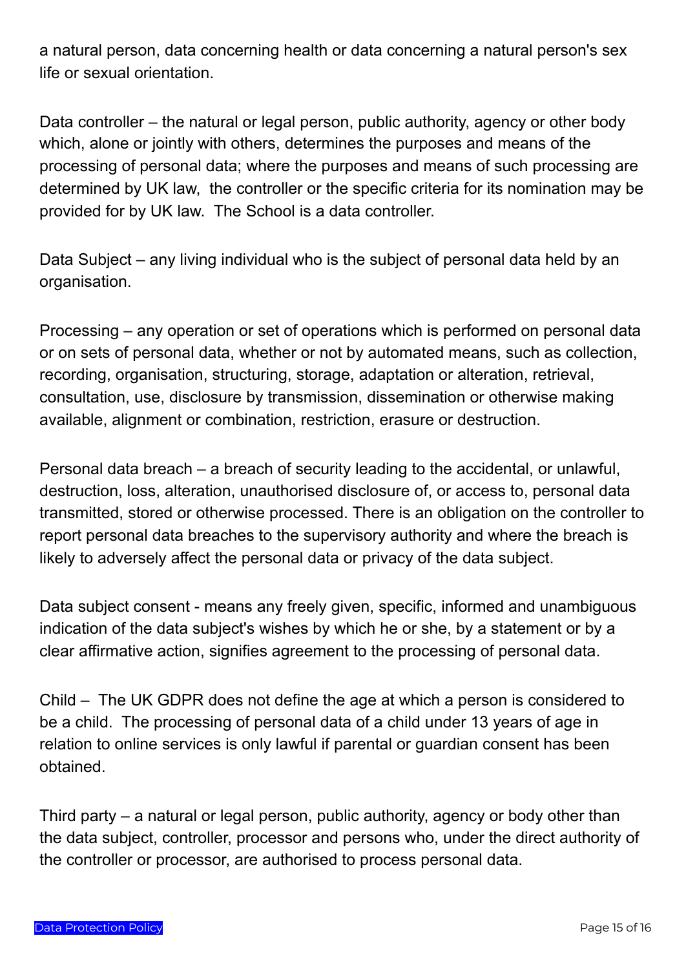a natural person, data concerning health or data concerning a natural person's sex life or sexual orientation.

Data controller – the natural or legal person, public authority, agency or other body which, alone or jointly with others, determines the purposes and means of the processing of personal data; where the purposes and means of such processing are determined by UK law, the controller or the specific criteria for its nomination may be provided for by UK law. The School is a data controller.

Data Subject – any living individual who is the subject of personal data held by an organisation.

Processing – any operation or set of operations which is performed on personal data or on sets of personal data, whether or not by automated means, such as collection, recording, organisation, structuring, storage, adaptation or alteration, retrieval, consultation, use, disclosure by transmission, dissemination or otherwise making available, alignment or combination, restriction, erasure or destruction.

Personal data breach – a breach of security leading to the accidental, or unlawful, destruction, loss, alteration, unauthorised disclosure of, or access to, personal data transmitted, stored or otherwise processed. There is an obligation on the controller to report personal data breaches to the supervisory authority and where the breach is likely to adversely affect the personal data or privacy of the data subject.

Data subject consent - means any freely given, specific, informed and unambiguous indication of the data subject's wishes by which he or she, by a statement or by a clear affirmative action, signifies agreement to the processing of personal data.

Child – The UK GDPR does not define the age at which a person is considered to be a child. The processing of personal data of a child under 13 years of age in relation to online services is only lawful if parental or guardian consent has been obtained.

Third party – a natural or legal person, public authority, agency or body other than the data subject, controller, processor and persons who, under the direct authority of the controller or processor, are authorised to process personal data.